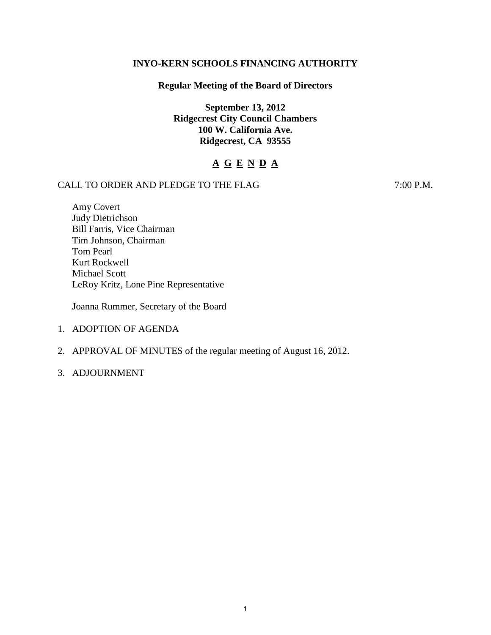## **INYO-KERN SCHOOLS FINANCING AUTHORITY**

## **Regular Meeting of the Board of Directors**

**September 13, 2012 Ridgecrest City Council Chambers 100 W. California Ave. Ridgecrest, CA 93555** 

# **A G E N D A**

# CALL TO ORDER AND PLEDGE TO THE FLAG 7:00 P.M.

Amy Covert Judy Dietrichson Bill Farris, Vice Chairman Tim Johnson, Chairman Tom Pearl Kurt Rockwell Michael Scott LeRoy Kritz, Lone Pine Representative

Joanna Rummer, Secretary of the Board

- 1. ADOPTION OF AGENDA
- 2. APPROVAL OF MINUTES of the regular meeting of August 16, 2012.
- 3. ADJOURNMENT